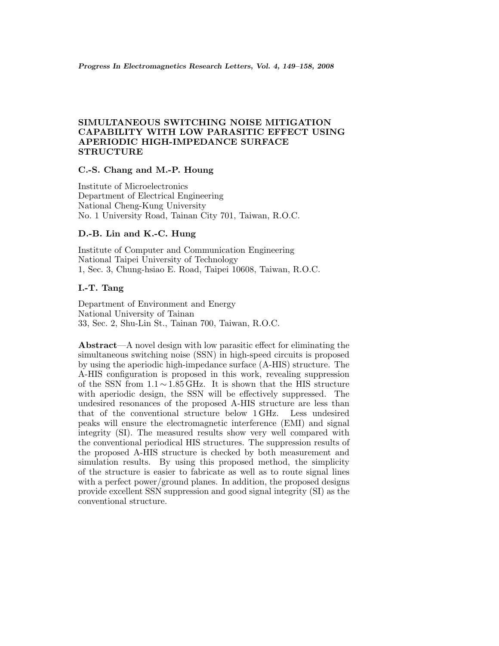# **SIMULTANEOUS SWITCHING NOISE MITIGATION CAPABILITY WITH LOW PARASITIC EFFECT USING APERIODIC HIGH-IMPEDANCE SURFACE STRUCTURE**

# **C.-S. Chang and M.-P. Houng**

Institute of Microelectronics Department of Electrical Engineering National Cheng-Kung University No. 1 University Road, Tainan City 701, Taiwan, R.O.C.

## **D.-B. Lin and K.-C. Hung**

Institute of Computer and Communication Engineering National Taipei University of Technology 1, Sec. 3, Chung-hsiao E. Road, Taipei 10608, Taiwan, R.O.C.

# **I.-T. Tang**

Department of Environment and Energy National University of Tainan 33, Sec. 2, Shu-Lin St., Tainan 700, Taiwan, R.O.C.

**Abstract**—A novel design with low parasitic effect for eliminating the simultaneous switching noise (SSN) in high-speed circuits is proposed by using the aperiodic high-impedance surface (A-HIS) structure. The A-HIS configuration is proposed in this work, revealing suppression of the SSN from 1.1 ∼ 1.85 GHz. It is shown that the HIS structure with aperiodic design, the SSN will be effectively suppressed. The undesired resonances of the proposed A-HIS structure are less than that of the conventional structure below 1 GHz. Less undesired peaks will ensure the electromagnetic interference (EMI) and signal integrity (SI). The measured results show very well compared with the conventional periodical HIS structures. The suppression results of the proposed A-HIS structure is checked by both measurement and simulation results. By using this proposed method, the simplicity of the structure is easier to fabricate as well as to route signal lines with a perfect power/ground planes. In addition, the proposed designs provide excellent SSN suppression and good signal integrity (SI) as the conventional structure.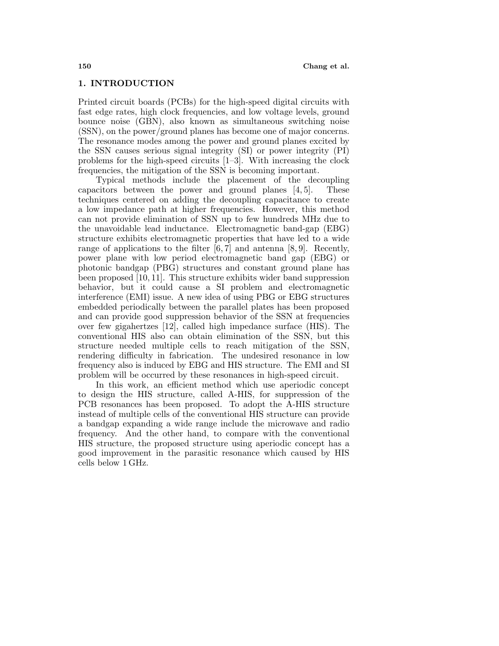#### **1. INTRODUCTION**

Printed circuit boards (PCBs) for the high-speed digital circuits with fast edge rates, high clock frequencies, and low voltage levels, ground bounce noise (GBN), also known as simultaneous switching noise (SSN), on the power/ground planes has become one of major concerns. The resonance modes among the power and ground planes excited by the SSN causes serious signal integrity (SI) or power integrity (PI) problems for the high-speed circuits [1–3]. With increasing the clock frequencies, the mitigation of the SSN is becoming important.

Typical methods include the placement of the decoupling capacitors between the power and ground planes [4, 5]. These techniques centered on adding the decoupling capacitance to create a low impedance path at higher frequencies. However, this method can not provide elimination of SSN up to few hundreds MHz due to the unavoidable lead inductance. Electromagnetic band-gap (EBG) structure exhibits electromagnetic properties that have led to a wide range of applications to the filter  $[6, 7]$  and antenna  $[8, 9]$ . Recently, power plane with low period electromagnetic band gap (EBG) or photonic bandgap (PBG) structures and constant ground plane has been proposed [10, 11]. This structure exhibits wider band suppression behavior, but it could cause a SI problem and electromagnetic interference (EMI) issue. A new idea of using PBG or EBG structures embedded periodically between the parallel plates has been proposed and can provide good suppression behavior of the SSN at frequencies over few gigahertzes [12], called high impedance surface (HIS). The conventional HIS also can obtain elimination of the SSN, but this structure needed multiple cells to reach mitigation of the SSN, rendering difficulty in fabrication. The undesired resonance in low frequency also is induced by EBG and HIS structure. The EMI and SI problem will be occurred by these resonances in high-speed circuit.

In this work, an efficient method which use aperiodic concept to design the HIS structure, called A-HIS, for suppression of the PCB resonances has been proposed. To adopt the A-HIS structure instead of multiple cells of the conventional HIS structure can provide a bandgap expanding a wide range include the microwave and radio frequency. And the other hand, to compare with the conventional HIS structure, the proposed structure using aperiodic concept has a good improvement in the parasitic resonance which caused by HIS cells below 1 GHz.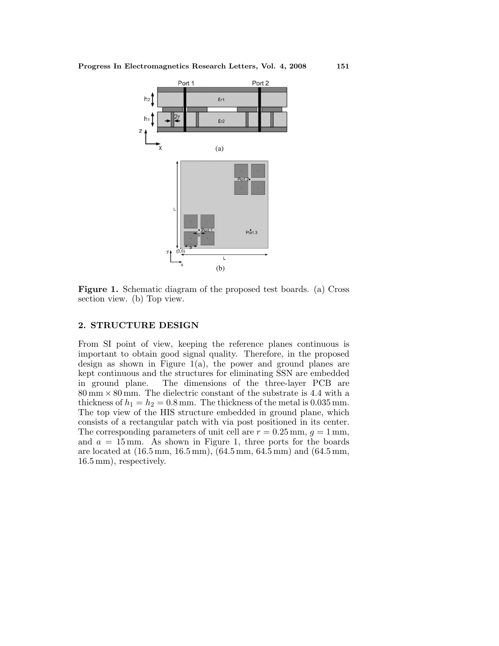

**Figure 1.** Schematic diagram of the proposed test boards. (a) Cross section view. (b) Top view.

### **2. STRUCTURE DESIGN**

From SI point of view, keeping the reference planes continuous is important to obtain good signal quality. Therefore, in the proposed design as shown in Figure  $1(a)$ , the power and ground planes are kept continuous and the structures for eliminating SSN are embedded in ground plane. The dimensions of the three-layer PCB are  $80 \text{ mm} \times 80 \text{ mm}$ . The dielectric constant of the substrate is 4.4 with a thickness of  $h_1 = h_2 = 0.8$  mm. The thickness of the metal is  $0.035$  mm. The top view of the HIS structure embedded in ground plane, which consists of a rectangular patch with via post positioned in its center. The corresponding parameters of unit cell are  $r = 0.25$  mm,  $q = 1$  mm, and  $a = 15$  mm. As shown in Figure 1, three ports for the boards are located at (16.5 mm, 16.5 mm), (64.5 mm, 64.5 mm) and (64.5 mm, 16.5 mm), respectively.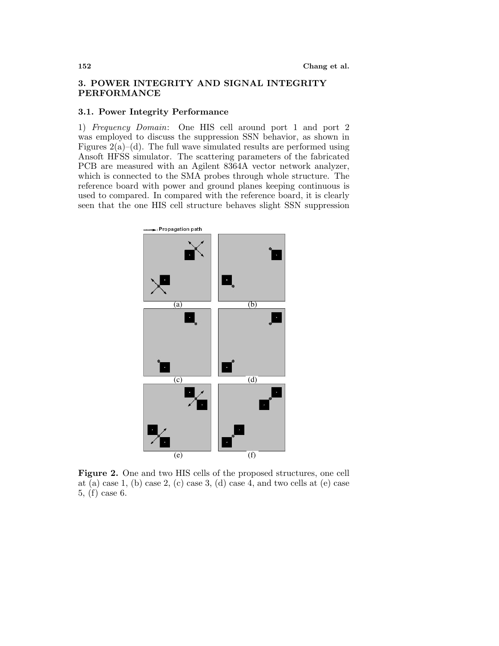## **3. POWER INTEGRITY AND SIGNAL INTEGRITY PERFORMANCE**

### **3.1. Power Integrity Performance**

1) Frequency Domain: One HIS cell around port 1 and port 2 was employed to discuss the suppression SSN behavior, as shown in Figures  $2(a)$ –(d). The full wave simulated results are performed using Ansoft HFSS simulator. The scattering parameters of the fabricated PCB are measured with an Agilent 8364A vector network analyzer, which is connected to the SMA probes through whole structure. The reference board with power and ground planes keeping continuous is used to compared. In compared with the reference board, it is clearly seen that the one HIS cell structure behaves slight SSN suppression



**Figure 2.** One and two HIS cells of the proposed structures, one cell at (a) case 1, (b) case 2, (c) case 3, (d) case 4, and two cells at (e) case 5, (f) case 6.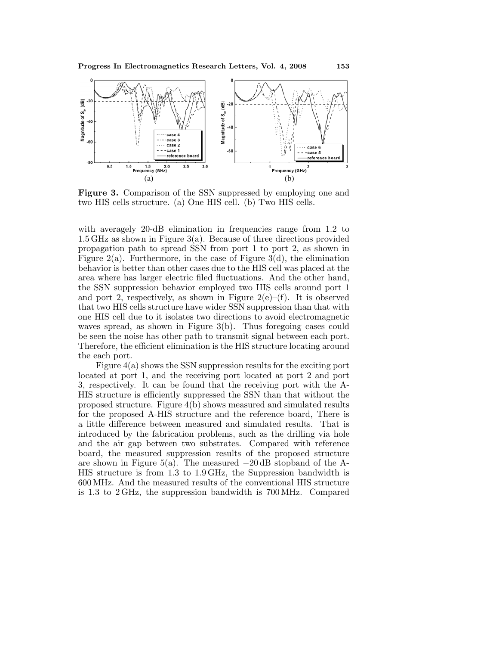

**Figure 3.** Comparison of the SSN suppressed by employing one and two HIS cells structure. (a) One HIS cell. (b) Two HIS cells.

with averagely 20-dB elimination in frequencies range from 1.2 to 1.5 GHz as shown in Figure 3(a). Because of three directions provided propagation path to spread SSN from port 1 to port 2, as shown in Figure  $2(a)$ . Furthermore, in the case of Figure  $3(d)$ , the elimination behavior is better than other cases due to the HIS cell was placed at the area where has larger electric filed fluctuations. And the other hand, the SSN suppression behavior employed two HIS cells around port 1 and port 2, respectively, as shown in Figure  $2(e)$ –(f). It is observed that two HIS cells structure have wider SSN suppression than that with one HIS cell due to it isolates two directions to avoid electromagnetic waves spread, as shown in Figure 3(b). Thus foregoing cases could be seen the noise has other path to transmit signal between each port. Therefore, the efficient elimination is the HIS structure locating around the each port.

Figure 4(a) shows the SSN suppression results for the exciting port located at port 1, and the receiving port located at port 2 and port 3, respectively. It can be found that the receiving port with the A-HIS structure is efficiently suppressed the SSN than that without the proposed structure. Figure 4(b) shows measured and simulated results for the proposed A-HIS structure and the reference board, There is a little difference between measured and simulated results. That is introduced by the fabrication problems, such as the drilling via hole and the air gap between two substrates. Compared with reference board, the measured suppression results of the proposed structure are shown in Figure 5(a). The measured  $-20$  dB stopband of the A-HIS structure is from 1.3 to 1.9 GHz, the Suppression bandwidth is 600 MHz. And the measured results of the conventional HIS structure is 1.3 to 2 GHz, the suppression bandwidth is 700 MHz. Compared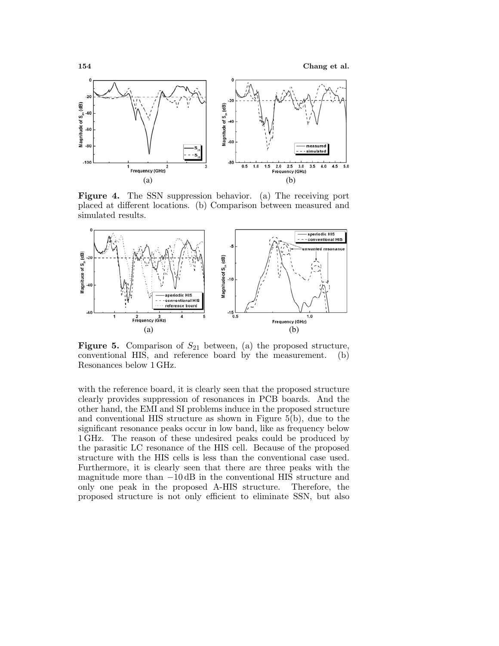**154 Chang et al.**



**Figure 4.** The SSN suppression behavior. (a) The receiving port placed at different locations. (b) Comparison between measured and simulated results.



**Figure 5.** Comparison of  $S_{21}$  between, (a) the proposed structure, conventional HIS, and reference board by the measurement. (b) Resonances below 1 GHz.

with the reference board, it is clearly seen that the proposed structure clearly provides suppression of resonances in PCB boards. And the other hand, the EMI and SI problems induce in the proposed structure and conventional HIS structure as shown in Figure 5(b), due to the significant resonance peaks occur in low band, like as frequency below 1 GHz. The reason of these undesired peaks could be produced by the parasitic LC resonance of the HIS cell. Because of the proposed structure with the HIS cells is less than the conventional case used. Furthermore, it is clearly seen that there are three peaks with the magnitude more than −10 dB in the conventional HIS structure and only one peak in the proposed A-HIS structure. Therefore, the only one peak in the proposed A-HIS structure. proposed structure is not only efficient to eliminate SSN, but also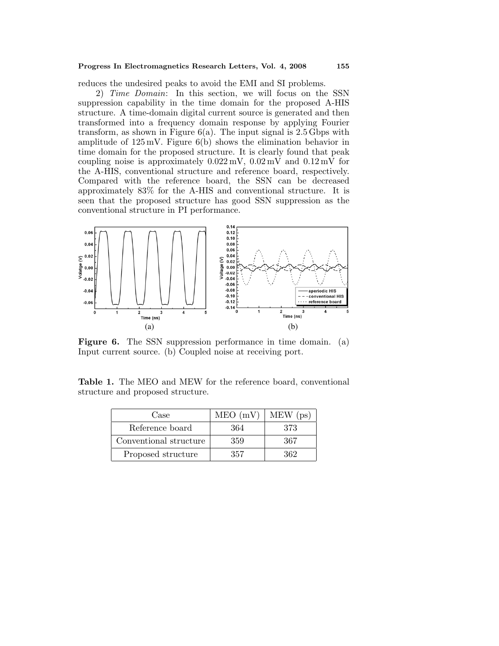#### **Progress In Electromagnetics Research Letters, Vol. 4, 2008 155**

reduces the undesired peaks to avoid the EMI and SI problems.

2) Time Domain: In this section, we will focus on the SSN suppression capability in the time domain for the proposed A-HIS structure. A time-domain digital current source is generated and then transformed into a frequency domain response by applying Fourier transform, as shown in Figure  $6(a)$ . The input signal is 2.5 Gbps with amplitude of 125 mV. Figure 6(b) shows the elimination behavior in time domain for the proposed structure. It is clearly found that peak coupling noise is approximately  $0.022 \,\mathrm{mV}$ ,  $0.02 \,\mathrm{mV}$  and  $0.12 \,\mathrm{mV}$  for the A-HIS, conventional structure and reference board, respectively. Compared with the reference board, the SSN can be decreased approximately 83% for the A-HIS and conventional structure. It is seen that the proposed structure has good SSN suppression as the conventional structure in PI performance.



**Figure 6.** The SSN suppression performance in time domain. (a) Input current source. (b) Coupled noise at receiving port.

**Table 1.** The MEO and MEW for the reference board, conventional structure and proposed structure.

| Case                   | $MEO$ (mV) | $MEW$ (ps) |
|------------------------|------------|------------|
| Reference board        | 364        | 373        |
| Conventional structure | 359        | 367        |
| Proposed structure     | 357        | 362        |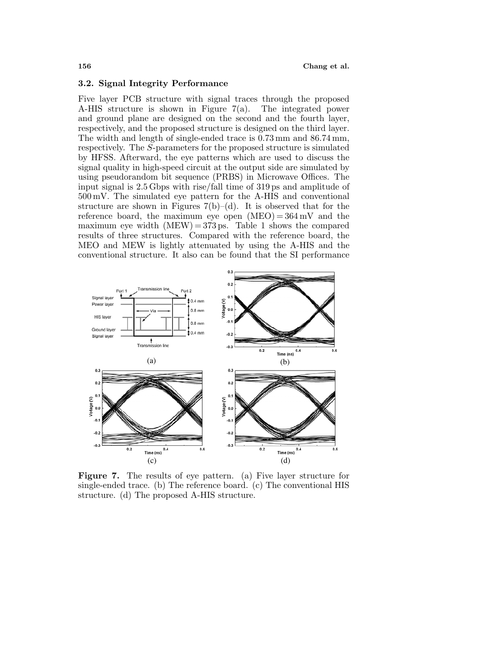#### **3.2. Signal Integrity Performance**

Five layer PCB structure with signal traces through the proposed A-HIS structure is shown in Figure 7(a). The integrated power and ground plane are designed on the second and the fourth layer, respectively, and the proposed structure is designed on the third layer. The width and length of single-ended trace is 0.73 mm and 86.74 mm, respectively. The *S*-parameters for the proposed structure is simulated by HFSS. Afterward, the eye patterns which are used to discuss the signal quality in high-speed circuit at the output side are simulated by using pseudorandom bit sequence (PRBS) in Microwave Offices. The input signal is 2.5 Gbps with rise/fall time of 319 ps and amplitude of 500 mV. The simulated eye pattern for the A-HIS and conventional structure are shown in Figures  $7(b)$ –(d). It is observed that for the reference board, the maximum eye open  $(MEO) = 364 \text{ mV}$  and the maximum eye width  $(MEW) = 373$  ps. Table 1 shows the compared results of three structures. Compared with the reference board, the MEO and MEW is lightly attenuated by using the A-HIS and the conventional structure. It also can be found that the SI performance



**Figure 7.** The results of eye pattern. (a) Five layer structure for single-ended trace. (b) The reference board. (c) The conventional HIS structure. (d) The proposed A-HIS structure.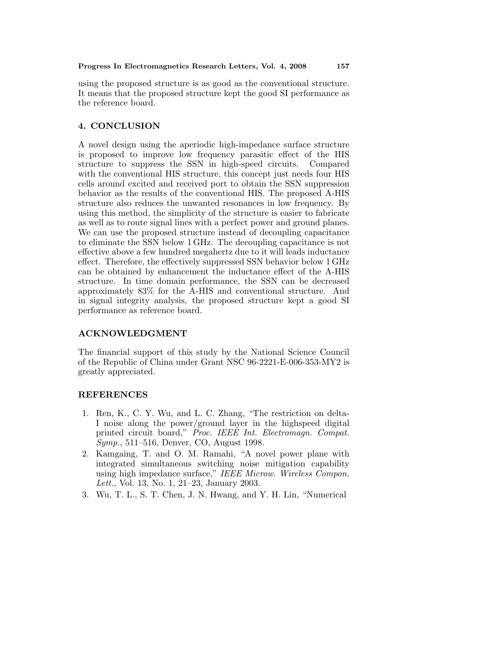using the proposed structure is as good as the conventional structure. It means that the proposed structure kept the good SI performance as the reference board.

## **4. CONCLUSION**

A novel design using the aperiodic high-impedance surface structure is proposed to improve low frequency parasitic effect of the HIS structure to suppress the SSN in high-speed circuits. Compared with the conventional HIS structure, this concept just needs four HIS cells around excited and received port to obtain the SSN suppression behavior as the results of the conventional HIS. The proposed A-HIS structure also reduces the unwanted resonances in low frequency. By using this method, the simplicity of the structure is easier to fabricate as well as to route signal lines with a perfect power and ground planes. We can use the proposed structure instead of decoupling capacitance to eliminate the SSN below 1 GHz. The decoupling capacitance is not effective above a few hundred megahertz due to it will leads inductance effect. Therefore, the effectively suppressed SSN behavior below 1 GHz can be obtained by enhancement the inductance effect of the A-HIS structure. In time domain performance, the SSN can be decreased approximately 83% for the A-HIS and conventional structure. And in signal integrity analysis, the proposed structure kept a good SI performance as reference board.

### **ACKNOWLEDGMENT**

The financial support of this study by the National Science Council of the Republic of China under Grant NSC 96-2221-E-006-353-MY2 is greatly appreciated.

### **REFERENCES**

- 1. Ren, K., C. Y. Wu, and L. C. Zhang, "The restriction on delta-I noise along the power/ground layer in the highspeed digital printed circuit board," Proc. IEEE Int. Electromagn. Compat. Symp., 511–516, Denver, CO, August 1998.
- 2. Kamgaing, T. and O. M. Ramahi, "A novel power plane with integrated simultaneous switching noise mitigation capability using high impedance surface," IEEE Microw. Wireless Compon. Lett., Vol. 13, No. 1, 21–23, January 2003.
- 3. Wu, T. L., S. T. Chen, J. N. Hwang, and Y. H. Lin, "Numerical